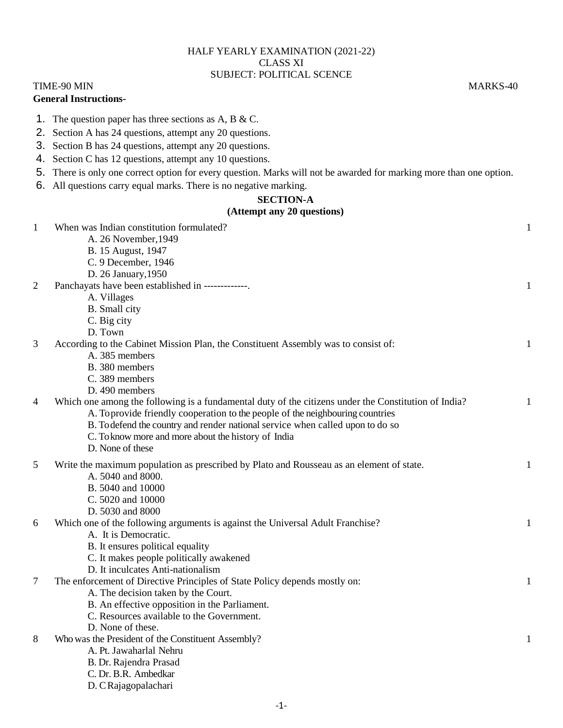## HALF YEARLY EXAMINATION (2021-22) CLASS XI SUBJECT: POLITICAL SCENCE

### TIME-90 MIN MARKS-40 **General Instructions-**

1. The question paper has three sections as A, B & C.

- 2. Section A has 24 questions, attempt any 20 questions.
- 3. Section B has 24 questions, attempt any 20 questions.
- 4. Section C has 12 questions, attempt any 10 questions.
- 5. There is only one correct option for every question. Marks will not be awarded for marking more than one option.
- 6. All questions carry equal marks. There is no negative marking.

#### **SECTION-A**

# **(Attempt any 20 questions)**

|                | $(AUUIII)U$ any 20 questions)                                                                        |              |
|----------------|------------------------------------------------------------------------------------------------------|--------------|
| 1              | When was Indian constitution formulated?                                                             | 1            |
|                | A. 26 November, 1949                                                                                 |              |
|                | B. 15 August, 1947                                                                                   |              |
|                | C. 9 December, 1946                                                                                  |              |
|                | D. 26 January, 1950                                                                                  |              |
| $\overline{2}$ | Panchayats have been established in -------------.                                                   | 1            |
|                | A. Villages                                                                                          |              |
|                | <b>B.</b> Small city                                                                                 |              |
|                | C. Big city                                                                                          |              |
|                | D. Town                                                                                              |              |
| 3              | According to the Cabinet Mission Plan, the Constituent Assembly was to consist of:                   | 1            |
|                | A. 385 members                                                                                       |              |
|                | B. 380 members                                                                                       |              |
|                | C. 389 members                                                                                       |              |
|                | D. 490 members                                                                                       |              |
| $\overline{4}$ | Which one among the following is a fundamental duty of the citizens under the Constitution of India? | 1            |
|                | A. To provide friendly cooperation to the people of the neighbouring countries                       |              |
|                | B. To defend the country and render national service when called upon to do so                       |              |
|                | C. To know more and more about the history of India                                                  |              |
|                | D. None of these                                                                                     |              |
| 5              | Write the maximum population as prescribed by Plato and Rousseau as an element of state.             | $\mathbf{1}$ |
|                | A. 5040 and 8000.                                                                                    |              |
|                | B. 5040 and 10000                                                                                    |              |
|                | C. 5020 and 10000                                                                                    |              |
|                | D. 5030 and 8000                                                                                     |              |
| 6              | Which one of the following arguments is against the Universal Adult Franchise?                       | 1            |
|                | A. It is Democratic.                                                                                 |              |
|                | B. It ensures political equality                                                                     |              |
|                | C. It makes people politically awakened                                                              |              |
|                | D. It inculcates Anti-nationalism                                                                    |              |
| $\tau$         | The enforcement of Directive Principles of State Policy depends mostly on:                           | $\mathbf{1}$ |
|                | A. The decision taken by the Court.                                                                  |              |
|                | B. An effective opposition in the Parliament.                                                        |              |
|                | C. Resources available to the Government.                                                            |              |
|                | D. None of these.                                                                                    |              |
| 8              | Who was the President of the Constituent Assembly?                                                   | 1            |
|                | A. Pt. Jawaharlal Nehru                                                                              |              |
|                | B. Dr. Rajendra Prasad                                                                               |              |
|                | C. Dr. B.R. Ambedkar                                                                                 |              |
|                | D. C Rajagopalachari                                                                                 |              |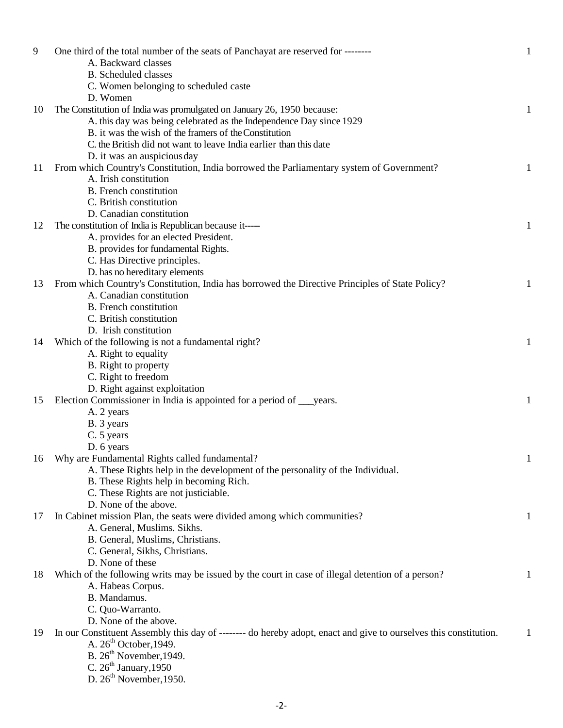| 9  | One third of the total number of the seats of Panchayat are reserved for --------<br>A. Backward classes        | $\mathbf{1}$ |
|----|-----------------------------------------------------------------------------------------------------------------|--------------|
|    | <b>B.</b> Scheduled classes                                                                                     |              |
|    | C. Women belonging to scheduled caste                                                                           |              |
|    | D. Women                                                                                                        |              |
| 10 | The Constitution of India was promulgated on January 26, 1950 because:                                          | $\mathbf{1}$ |
|    | A. this day was being celebrated as the Independence Day since 1929                                             |              |
|    | B. it was the wish of the framers of the Constitution                                                           |              |
|    | C. the British did not want to leave India earlier than this date                                               |              |
|    | D. it was an auspicious day                                                                                     |              |
| 11 | From which Country's Constitution, India borrowed the Parliamentary system of Government?                       | 1            |
|    | A. Irish constitution                                                                                           |              |
|    | <b>B.</b> French constitution                                                                                   |              |
|    | C. British constitution                                                                                         |              |
|    | D. Canadian constitution                                                                                        |              |
| 12 | The constitution of India is Republican because it-----                                                         | 1            |
|    | A. provides for an elected President.                                                                           |              |
|    | B. provides for fundamental Rights.                                                                             |              |
|    | C. Has Directive principles.                                                                                    |              |
|    | D. has no hereditary elements                                                                                   |              |
| 13 | From which Country's Constitution, India has borrowed the Directive Principles of State Policy?                 | 1            |
|    | A. Canadian constitution                                                                                        |              |
|    | <b>B.</b> French constitution                                                                                   |              |
|    | C. British constitution                                                                                         |              |
|    | D. Irish constitution                                                                                           |              |
| 14 | Which of the following is not a fundamental right?                                                              | 1            |
|    | A. Right to equality                                                                                            |              |
|    | B. Right to property                                                                                            |              |
|    | C. Right to freedom                                                                                             |              |
|    | D. Right against exploitation                                                                                   |              |
| 15 | Election Commissioner in India is appointed for a period of <u>years</u> .                                      | 1            |
|    | A. 2 years                                                                                                      |              |
|    | B. 3 years                                                                                                      |              |
|    | C. 5 years                                                                                                      |              |
|    | D. 6 years                                                                                                      |              |
| 16 | Why are Fundamental Rights called fundamental?                                                                  | $\mathbf{I}$ |
|    | A. These Rights help in the development of the personality of the Individual.                                   |              |
|    | B. These Rights help in becoming Rich.                                                                          |              |
|    | C. These Rights are not justiciable.                                                                            |              |
|    | D. None of the above.                                                                                           |              |
|    |                                                                                                                 |              |
| 17 | In Cabinet mission Plan, the seats were divided among which communities?                                        | 1            |
|    | A. General, Muslims. Sikhs.                                                                                     |              |
|    | B. General, Muslims, Christians.                                                                                |              |
|    | C. General, Sikhs, Christians.                                                                                  |              |
|    | D. None of these                                                                                                |              |
| 18 | Which of the following writs may be issued by the court in case of illegal detention of a person?               | 1            |
|    | A. Habeas Corpus.                                                                                               |              |
|    | B. Mandamus.                                                                                                    |              |
|    | C. Quo-Warranto.                                                                                                |              |
|    | D. None of the above.                                                                                           |              |
| 19 | In our Constituent Assembly this day of ------- do hereby adopt, enact and give to ourselves this constitution. | 1            |
|    | A. $26th$ October, 1949.                                                                                        |              |
|    | B. $26th$ November, 1949.                                                                                       |              |
|    | C. $26th January, 1950$                                                                                         |              |
|    | D. $26th$ November, 1950.                                                                                       |              |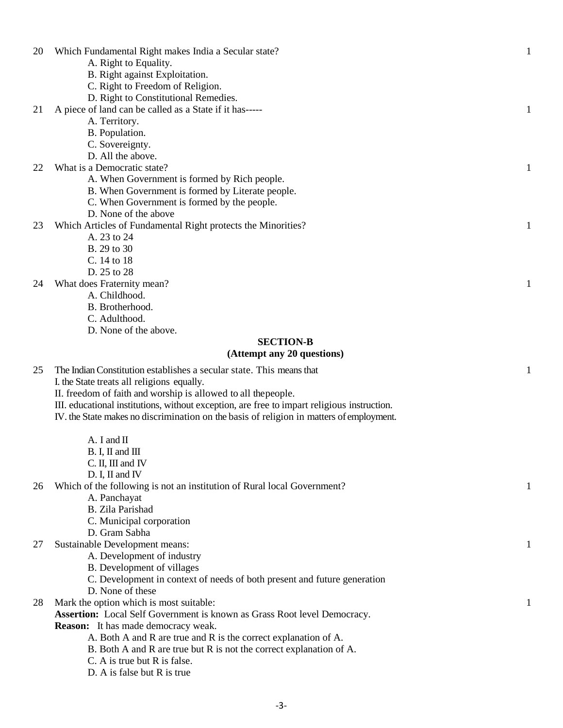| 20 | Which Fundamental Right makes India a Secular state?                                        | $\mathbf{1}$ |
|----|---------------------------------------------------------------------------------------------|--------------|
|    | A. Right to Equality.                                                                       |              |
|    | B. Right against Exploitation.                                                              |              |
|    | C. Right to Freedom of Religion.                                                            |              |
|    | D. Right to Constitutional Remedies.                                                        |              |
| 21 | A piece of land can be called as a State if it has-----                                     | 1            |
|    | A. Territory.                                                                               |              |
|    | B. Population.                                                                              |              |
|    | C. Sovereignty.                                                                             |              |
|    | D. All the above.                                                                           |              |
| 22 | What is a Democratic state?                                                                 | 1            |
|    | A. When Government is formed by Rich people.                                                |              |
|    | B. When Government is formed by Literate people.                                            |              |
|    |                                                                                             |              |
|    | C. When Government is formed by the people.                                                 |              |
|    | D. None of the above                                                                        |              |
| 23 | Which Articles of Fundamental Right protects the Minorities?                                | 1            |
|    | A. 23 to 24                                                                                 |              |
|    | B. 29 to 30                                                                                 |              |
|    | C. 14 to 18                                                                                 |              |
|    | D. 25 to 28                                                                                 |              |
| 24 | What does Fraternity mean?                                                                  | 1            |
|    | A. Childhood.                                                                               |              |
|    | B. Brotherhood.                                                                             |              |
|    | C. Adulthood.                                                                               |              |
|    | D. None of the above.                                                                       |              |
|    | <b>SECTION-B</b>                                                                            |              |
|    | (Attempt any 20 questions)                                                                  |              |
| 25 | The Indian Constitution establishes a secular state. This means that                        | 1            |
|    | I. the State treats all religions equally.                                                  |              |
|    | II. freedom of faith and worship is allowed to all the people.                              |              |
|    | III. educational institutions, without exception, are free to impart religious instruction. |              |
|    | IV. the State makes no discrimination on the basis of religion in matters of employment.    |              |
|    |                                                                                             |              |
|    | $A. I$ and $II$                                                                             |              |
|    | B. I, II and III                                                                            |              |
|    | C. II, III and IV                                                                           |              |
|    | D. I, II and IV                                                                             |              |
| 26 | Which of the following is not an institution of Rural local Government?                     |              |
|    |                                                                                             |              |
|    | A. Panchayat<br><b>B.</b> Zila Parishad                                                     |              |
|    |                                                                                             |              |
|    | C. Municipal corporation                                                                    |              |
|    | D. Gram Sabha                                                                               |              |
| 27 | Sustainable Development means:                                                              | 1            |
|    | A. Development of industry                                                                  |              |
|    | B. Development of villages                                                                  |              |
|    | C. Development in context of needs of both present and future generation                    |              |
|    | D. None of these                                                                            |              |
| 28 | Mark the option which is most suitable:                                                     | 1            |
|    | Assertion: Local Self Government is known as Grass Root level Democracy.                    |              |
|    | <b>Reason:</b> It has made democracy weak.                                                  |              |
|    | A. Both A and R are true and R is the correct explanation of A.                             |              |
|    | B. Both A and R are true but R is not the correct explanation of A.                         |              |
|    |                                                                                             |              |
|    | C. A is true but R is false.<br>D. A is false but R is true                                 |              |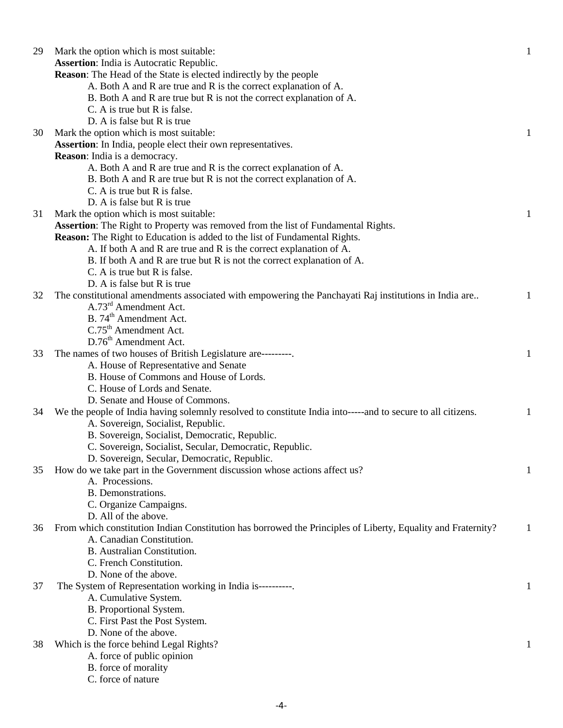| 29 | Mark the option which is most suitable:                                                                                                   | 1 |
|----|-------------------------------------------------------------------------------------------------------------------------------------------|---|
|    | <b>Assertion:</b> India is Autocratic Republic.                                                                                           |   |
|    | <b>Reason:</b> The Head of the State is elected indirectly by the people                                                                  |   |
|    | A. Both A and R are true and R is the correct explanation of A.                                                                           |   |
|    | B. Both A and R are true but R is not the correct explanation of A.                                                                       |   |
|    | C. A is true but R is false.                                                                                                              |   |
|    | D. A is false but R is true                                                                                                               |   |
| 30 | Mark the option which is most suitable:                                                                                                   | 1 |
|    | Assertion: In India, people elect their own representatives.                                                                              |   |
|    | <b>Reason:</b> India is a democracy.                                                                                                      |   |
|    | A. Both A and R are true and R is the correct explanation of A.                                                                           |   |
|    | B. Both A and R are true but R is not the correct explanation of A.                                                                       |   |
|    | C. A is true but R is false.                                                                                                              |   |
|    | D. A is false but R is true                                                                                                               |   |
| 31 | Mark the option which is most suitable:                                                                                                   | 1 |
|    | Assertion: The Right to Property was removed from the list of Fundamental Rights.                                                         |   |
|    | <b>Reason:</b> The Right to Education is added to the list of Fundamental Rights.                                                         |   |
|    | A. If both A and R are true and R is the correct explanation of A.                                                                        |   |
|    | B. If both A and R are true but R is not the correct explanation of A.                                                                    |   |
|    | C. A is true but R is false.                                                                                                              |   |
|    | D. A is false but R is true                                                                                                               |   |
| 32 | The constitutional amendments associated with empowering the Panchayati Raj institutions in India are                                     | 1 |
|    | A.73 <sup>rd</sup> Amendment Act.                                                                                                         |   |
|    | B. 74 <sup>th</sup> Amendment Act.                                                                                                        |   |
|    | C.75 <sup>th</sup> Amendment Act.                                                                                                         |   |
|    | D.76 <sup>th</sup> Amendment Act.                                                                                                         |   |
| 33 | The names of two houses of British Legislature are---------.                                                                              | 1 |
|    | A. House of Representative and Senate                                                                                                     |   |
|    | B. House of Commons and House of Lords.                                                                                                   |   |
|    | C. House of Lords and Senate.                                                                                                             |   |
|    | D. Senate and House of Commons.                                                                                                           |   |
| 34 | We the people of India having solemnly resolved to constitute India into-----and to secure to all citizens.                               |   |
|    |                                                                                                                                           |   |
|    | A. Sovereign, Socialist, Republic.                                                                                                        |   |
|    | B. Sovereign, Socialist, Democratic, Republic.                                                                                            |   |
|    | C. Sovereign, Socialist, Secular, Democratic, Republic.                                                                                   |   |
|    | D. Sovereign, Secular, Democratic, Republic.                                                                                              |   |
| 35 | How do we take part in the Government discussion whose actions affect us?<br>A. Processions.                                              |   |
|    | B. Demonstrations.                                                                                                                        |   |
|    | C. Organize Campaigns.                                                                                                                    |   |
|    | D. All of the above.                                                                                                                      |   |
|    |                                                                                                                                           |   |
| 36 | From which constitution Indian Constitution has borrowed the Principles of Liberty, Equality and Fraternity?<br>A. Canadian Constitution. | 1 |
|    |                                                                                                                                           |   |
|    | <b>B.</b> Australian Constitution.                                                                                                        |   |
|    | C. French Constitution.                                                                                                                   |   |
|    | D. None of the above.                                                                                                                     |   |
| 37 | The System of Representation working in India is----------                                                                                |   |
|    | A. Cumulative System.                                                                                                                     |   |
|    | B. Proportional System.                                                                                                                   |   |
|    | C. First Past the Post System.                                                                                                            |   |
|    | D. None of the above.                                                                                                                     |   |
| 38 | Which is the force behind Legal Rights?                                                                                                   |   |
|    | A. force of public opinion                                                                                                                |   |
|    | B. force of morality                                                                                                                      |   |
|    | C. force of nature                                                                                                                        |   |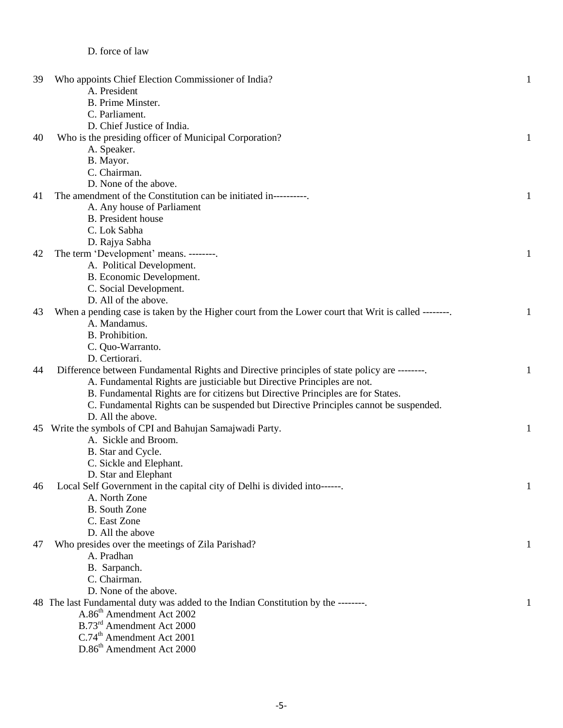## D. force of law

| 39 | Who appoints Chief Election Commissioner of India?                                                 | $\mathbf{1}$ |
|----|----------------------------------------------------------------------------------------------------|--------------|
|    | A. President                                                                                       |              |
|    | B. Prime Minster.                                                                                  |              |
|    | C. Parliament.                                                                                     |              |
|    | D. Chief Justice of India.                                                                         |              |
| 40 | Who is the presiding officer of Municipal Corporation?                                             | 1            |
|    | A. Speaker.                                                                                        |              |
|    | B. Mayor.                                                                                          |              |
|    | C. Chairman.                                                                                       |              |
|    | D. None of the above.                                                                              |              |
| 41 | The amendment of the Constitution can be initiated in----------                                    | 1            |
|    | A. Any house of Parliament                                                                         |              |
|    | <b>B.</b> President house                                                                          |              |
|    | C. Lok Sabha                                                                                       |              |
|    | D. Rajya Sabha                                                                                     |              |
| 42 | The term 'Development' means. --------.                                                            | $\mathbf{1}$ |
|    | A. Political Development.                                                                          |              |
|    | B. Economic Development.                                                                           |              |
|    | C. Social Development.                                                                             |              |
|    | D. All of the above.                                                                               |              |
| 43 | When a pending case is taken by the Higher court from the Lower court that Writ is called -------- | 1            |
|    | A. Mandamus.                                                                                       |              |
|    | B. Prohibition.                                                                                    |              |
|    | C. Quo-Warranto.                                                                                   |              |
|    | D. Certiorari.                                                                                     |              |
| 44 | Difference between Fundamental Rights and Directive principles of state policy are --------        | $\mathbf{1}$ |
|    | A. Fundamental Rights are justiciable but Directive Principles are not.                            |              |
|    | B. Fundamental Rights are for citizens but Directive Principles are for States.                    |              |
|    | C. Fundamental Rights can be suspended but Directive Principles cannot be suspended.               |              |
|    | D. All the above.                                                                                  |              |
|    | 45 Write the symbols of CPI and Bahujan Samajwadi Party.                                           | 1            |
|    | A. Sickle and Broom.                                                                               |              |
|    |                                                                                                    |              |
|    | B. Star and Cycle.                                                                                 |              |
|    | C. Sickle and Elephant.                                                                            |              |
|    | D. Star and Elephant                                                                               |              |
| 46 | Local Self Government in the capital city of Delhi is divided into------.                          | $\mathbf{I}$ |
|    | A. North Zone                                                                                      |              |
|    | <b>B.</b> South Zone                                                                               |              |
|    | C. East Zone                                                                                       |              |
|    | D. All the above                                                                                   |              |
| 47 | Who presides over the meetings of Zila Parishad?                                                   | 1            |
|    | A. Pradhan                                                                                         |              |
|    | B. Sarpanch.                                                                                       |              |
|    | C. Chairman.                                                                                       |              |
|    | D. None of the above.                                                                              |              |
|    | 48 The last Fundamental duty was added to the Indian Constitution by the --------                  |              |
|    | A.86 <sup>th</sup> Amendment Act 2002                                                              |              |
|    | B.73 <sup>rd</sup> Amendment Act 2000                                                              |              |
|    | C.74 <sup>th</sup> Amendment Act 2001                                                              |              |
|    | D.86 <sup>th</sup> Amendment Act 2000                                                              |              |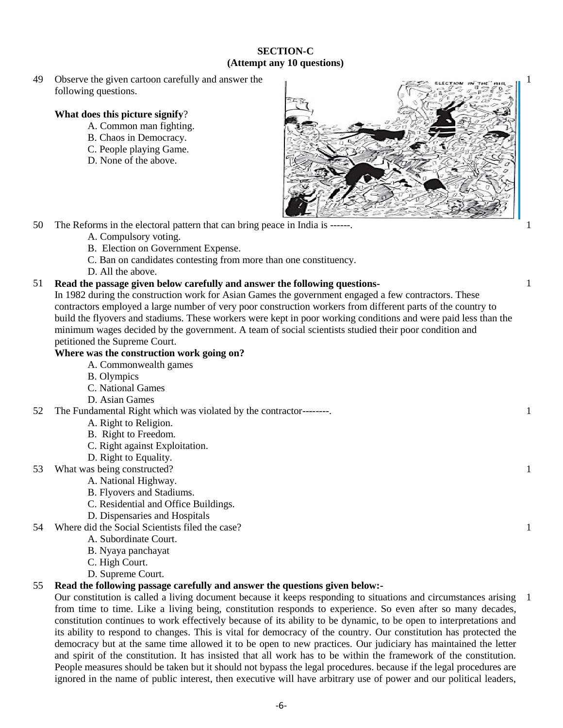#### **SECTION-C (Attempt any 10 questions)**

49 Observe the given cartoon carefully and answer the following questions.

## **What does this picture signify**?

- A. Common man fighting.
- B. Chaos in Democracy.
- C. People playing Game.
- D. None of the above.



1

1

1

1

1

1

50 The Reforms in the electoral pattern that can bring peace in India is ------.

- A. Compulsory voting.
- B. Election on Government Expense.
- C. Ban on candidates contesting from more than one constituency.
- D. All the above.

#### 51 **Read the passage given below carefully and answer the following questions-**

In 1982 during the construction work for Asian Games the government engaged a few contractors. These contractors employed a large number of very poor construction workers from different parts of the country to build the flyovers and stadiums. These workers were kept in poor working conditions and were paid less than the minimum wages decided by the government. A team of social scientists studied their poor condition and petitioned the Supreme Court.

## **Where was the construction work going on?**

- A. Commonwealth games
- B. Olympics
- C. National Games
- D. Asian Games
- 52 The Fundamental Right which was violated by the contractor--------.
	- A. Right to Religion.
	- B. Right to Freedom.
	- C. Right against Exploitation.
	- D. Right to Equality.
- 53 What was being constructed?
	- A. National Highway.
		- B. Flyovers and Stadiums.
		- C. Residential and Office Buildings.
		- D. Dispensaries and Hospitals
- 54 Where did the Social Scientists filed the case?
	- A. Subordinate Court.
	- B. Nyaya panchayat
	- C. High Court.
	- D. Supreme Court.

## 55 **Read the following passage carefully and answer the questions given below:-**

Our constitution is called a living document because it keeps responding to situations and circumstances arising 1from time to time. Like a living being, constitution responds to experience. So even after so many decades, constitution continues to work effectively because of its ability to be dynamic, to be open to interpretations and its ability to respond to changes. This is vital for democracy of the country. Our constitution has protected the democracy but at the same time allowed it to be open to new practices. Our judiciary has maintained the letter and spirit of the constitution. It has insisted that all work has to be within the framework of the constitution. People measures should be taken but it should not bypass the legal procedures. because if the legal procedures are ignored in the name of public interest, then executive will have arbitrary use of power and our political leaders,